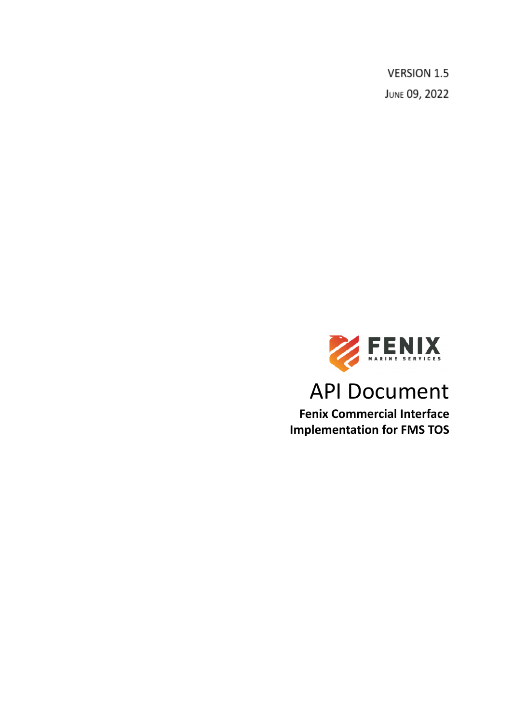**VERSION 1.5** JUNE 09, 2022



# API Document

**Fenix Commercial Interface Implementation for FMS TOS**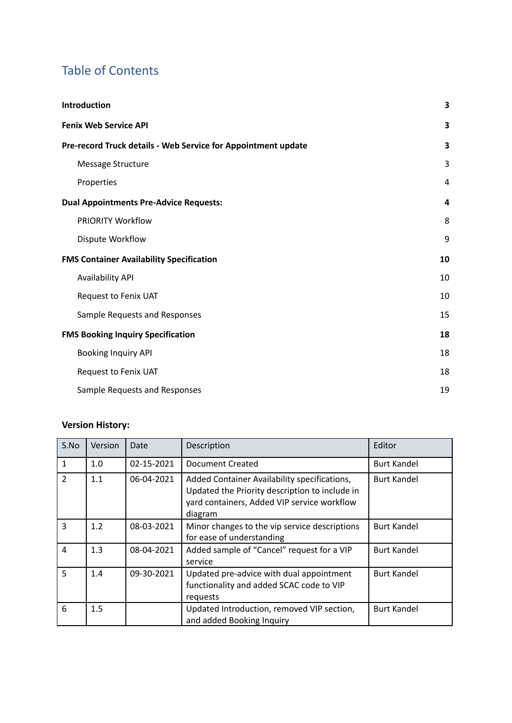# Table of Contents

| Introduction                                                  | 3  |
|---------------------------------------------------------------|----|
| <b>Fenix Web Service API</b>                                  | 3  |
| Pre-record Truck details - Web Service for Appointment update | 3  |
| Message Structure                                             | 3  |
| Properties                                                    | 4  |
| <b>Dual Appointments Pre-Advice Requests:</b>                 | 4  |
| PRIORITY Workflow                                             | 8  |
| Dispute Workflow                                              | 9  |
| <b>FMS Container Availability Specification</b>               | 10 |
| <b>Availability API</b>                                       | 10 |
| Request to Fenix UAT                                          | 10 |
| Sample Requests and Responses                                 | 15 |
| <b>FMS Booking Inquiry Specification</b>                      | 18 |
| <b>Booking Inquiry API</b>                                    | 18 |
| Request to Fenix UAT                                          | 18 |
| Sample Requests and Responses                                 | 19 |

# **Version History:**

| S.No           | Version | Date       | Description                                                                                                                                              | Editor             |
|----------------|---------|------------|----------------------------------------------------------------------------------------------------------------------------------------------------------|--------------------|
| $\mathbf{1}$   | 1.0     | 02-15-2021 | Document Created                                                                                                                                         | <b>Burt Kandel</b> |
| $\mathcal{P}$  | 1.1     | 06-04-2021 | Added Container Availability specifications,<br>Updated the Priority description to include in<br>yard containers, Added VIP service workflow<br>diagram | <b>Burt Kandel</b> |
| 3              | 1.2     | 08-03-2021 | Minor changes to the vip service descriptions<br>for ease of understanding                                                                               | <b>Burt Kandel</b> |
| $\overline{a}$ | 1.3     | 08-04-2021 | Added sample of "Cancel" request for a VIP<br>service                                                                                                    | <b>Burt Kandel</b> |
| 5              | 1.4     | 09-30-2021 | Updated pre-advice with dual appointment<br>functionality and added SCAC code to VIP<br>requests                                                         | <b>Burt Kandel</b> |
| 6              | 1.5     |            | Updated Introduction, removed VIP section,<br>and added Booking Inquiry                                                                                  | <b>Burt Kandel</b> |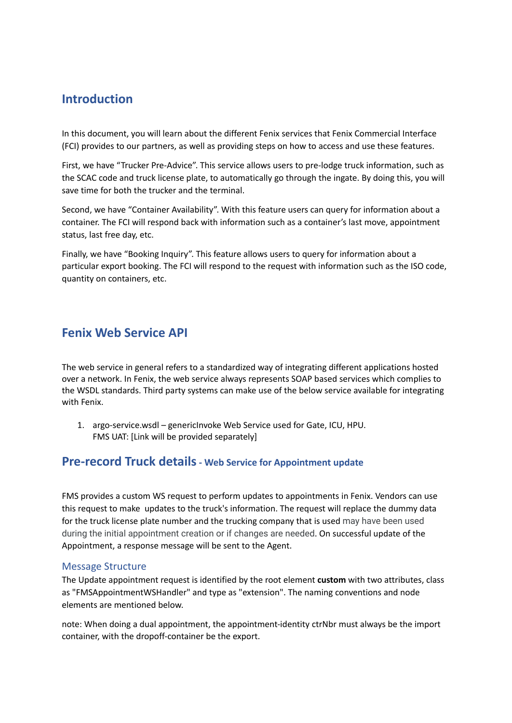# <span id="page-2-0"></span>**Introduction**

In this document, you will learn about the different Fenix services that Fenix Commercial Interface (FCI) provides to our partners, as well as providing steps on how to access and use these features.

First, we have "Trucker Pre-Advice". This service allows users to pre-lodge truck information, such as the SCAC code and truck license plate, to automatically go through the ingate. By doing this, you will save time for both the trucker and the terminal.

Second, we have "Container Availability". With this feature users can query for information about a container. The FCI will respond back with information such as a container's last move, appointment status, last free day, etc.

Finally, we have "Booking Inquiry". This feature allows users to query for information about a particular export booking. The FCI will respond to the request with information such as the ISO code, quantity on containers, etc.

# <span id="page-2-1"></span>**Fenix Web Service API**

The web service in general refers to a standardized way of integrating different applications hosted over a network. In Fenix, the web service always represents SOAP based services which complies to the WSDL standards. Third party systems can make use of the below service available for integrating with Fenix.

1. argo-service.wsdl – genericInvoke Web Service used for Gate, ICU, HPU. FMS UAT: [Link will be provided separately]

## <span id="page-2-2"></span>**Pre-record Truck details- Web Service for Appointment update**

FMS provides a custom WS request to perform updates to appointments in Fenix. Vendors can use this request to make updates to the truck's information. The request will replace the dummy data for the truck license plate number and the trucking company that is used may have been used during the initial appointment creation or if changes are needed. On successful update of the Appointment, a response message will be sent to the Agent.

### <span id="page-2-3"></span>Message Structure

The Update appointment request is identified by the root element **custom** with two attributes, class as "FMSAppointmentWSHandler" and type as "extension". The naming conventions and node elements are mentioned below.

note: When doing a dual appointment, the appointment-identity ctrNbr must always be the import container, with the dropoff-container be the export.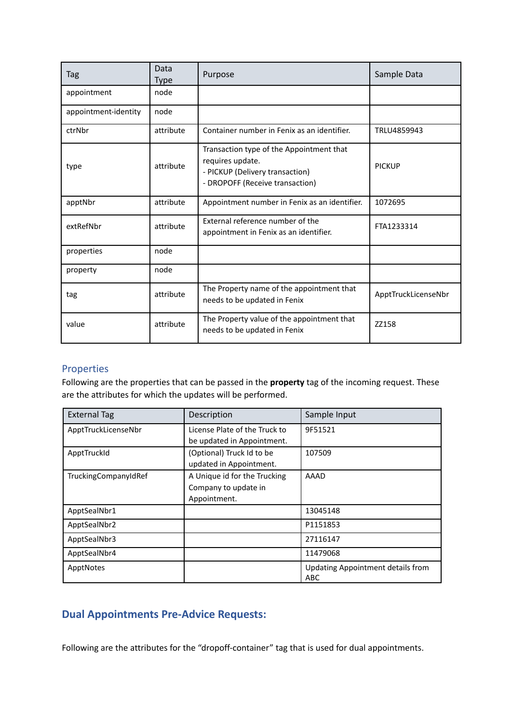| Tag                  | Data<br><b>Type</b> | Purpose                                                                                                                            | Sample Data         |
|----------------------|---------------------|------------------------------------------------------------------------------------------------------------------------------------|---------------------|
| appointment          | node                |                                                                                                                                    |                     |
| appointment-identity | node                |                                                                                                                                    |                     |
| ctrNbr               | attribute           | Container number in Fenix as an identifier.                                                                                        | TRLU4859943         |
| type                 | attribute           | Transaction type of the Appointment that<br>requires update.<br>- PICKUP (Delivery transaction)<br>- DROPOFF (Receive transaction) | <b>PICKUP</b>       |
| apptNbr              | attribute           | Appointment number in Fenix as an identifier.                                                                                      | 1072695             |
| extRefNbr            | attribute           | External reference number of the<br>appointment in Fenix as an identifier.                                                         | FTA1233314          |
| properties           | node                |                                                                                                                                    |                     |
| property             | node                |                                                                                                                                    |                     |
| tag                  | attribute           | The Property name of the appointment that<br>needs to be updated in Fenix                                                          | ApptTruckLicenseNbr |
| value                | attribute           | The Property value of the appointment that<br>needs to be updated in Fenix                                                         | ZZ158               |

### <span id="page-3-0"></span>Properties

Following are the properties that can be passed in the **property** tag of the incoming request. These are the attributes for which the updates will be performed.

| <b>External Tag</b>  | Description                   | Sample Input                                    |
|----------------------|-------------------------------|-------------------------------------------------|
| ApptTruckLicenseNbr  | License Plate of the Truck to | 9F51521                                         |
|                      | be updated in Appointment.    |                                                 |
| ApptTruckId          | (Optional) Truck Id to be     | 107509                                          |
|                      | updated in Appointment.       |                                                 |
| TruckingCompanyIdRef | A Unique id for the Trucking  | AAAD                                            |
|                      | Company to update in          |                                                 |
|                      | Appointment.                  |                                                 |
| ApptSealNbr1         |                               | 13045148                                        |
| ApptSealNbr2         |                               | P1151853                                        |
| ApptSealNbr3         |                               | 27116147                                        |
| ApptSealNbr4         |                               | 11479068                                        |
| ApptNotes            |                               | <b>Updating Appointment details from</b><br>ABC |

# <span id="page-3-1"></span>**Dual Appointments Pre-Advice Requests:**

Following are the attributes for the "dropoff-container" tag that is used for dual appointments.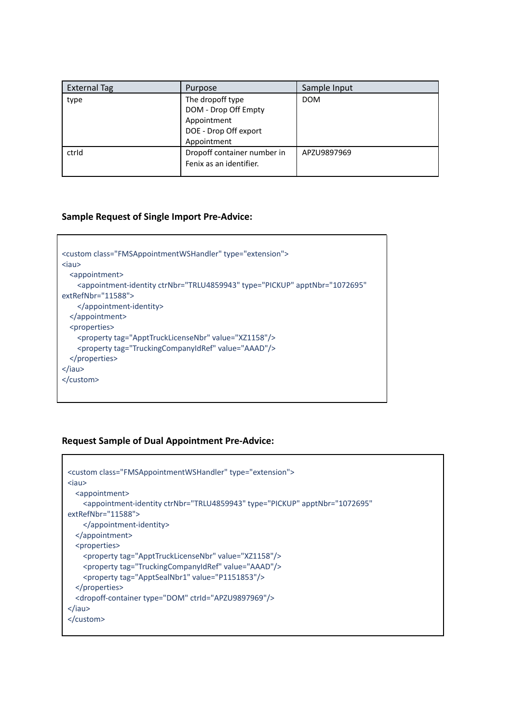| <b>External Tag</b> | Purpose                                                                                         | Sample Input |
|---------------------|-------------------------------------------------------------------------------------------------|--------------|
| type                | The dropoff type<br>DOM - Drop Off Empty<br>Appointment<br>DOE - Drop Off export<br>Appointment | <b>DOM</b>   |
| ctrid               | Dropoff container number in<br>Fenix as an identifier.                                          | APZU9897969  |

### **Sample Request of Single Import Pre-Advice:**

```
<custom class="FMSAppointmentWSHandler" type="extension">
<iau>
  <appointment>
   <appointment-identity ctrNbr="TRLU4859943" type="PICKUP" apptNbr="1072695"
extRefNbr="11588">
   </appointment-identity>
 </appointment>
  <properties>
   <property tag="ApptTruckLicenseNbr" value="XZ1158"/>
    <property tag="TruckingCompanyIdRef" value="AAAD"/>
  </properties>
</iau>
</custom>
```
### **Request Sample of Dual Appointment Pre-Advice:**

```
<custom class="FMSAppointmentWSHandler" type="extension">
<iau>
  <appointment>
   <appointment-identity ctrNbr="TRLU4859943" type="PICKUP" apptNbr="1072695"
extRefNbr="11588">
    </appointment-identity>
 </appointment>
  <properties>
   <property tag="ApptTruckLicenseNbr" value="XZ1158"/>
    <property tag="TruckingCompanyIdRef" value="AAAD"/>
    <property tag="ApptSealNbr1" value="P1151853"/>
  </properties>
  <dropoff-container type="DOM" ctrId="APZU9897969"/>
</iau>
</custom>
```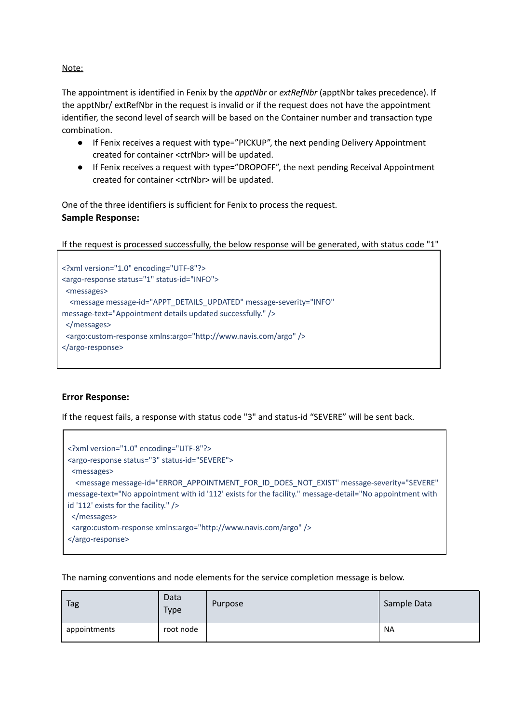### Note:

The appointment is identified in Fenix by the *apptNbr* or *extRefNbr* (apptNbr takes precedence). If the apptNbr/ extRefNbr in the request is invalid or if the request does not have the appointment identifier, the second level of search will be based on the Container number and transaction type combination.

- If Fenix receives a request with type="PICKUP", the next pending Delivery Appointment created for container <ctrNbr> will be updated.
- If Fenix receives a request with type="DROPOFF", the next pending Receival Appointment created for container <ctrNbr> will be updated.

One of the three identifiers is sufficient for Fenix to process the request. **Sample Response:**

If the request is processed successfully, the below response will be generated, with status code "1"

```
<?xml version="1.0" encoding="UTF-8"?>
<argo-response status="1" status-id="INFO">
<messages>
 <message message-id="APPT_DETAILS_UPDATED" message-severity="INFO"
message-text="Appointment details updated successfully." />
</messages>
 <argo:custom-response xmlns:argo="http://www.navis.com/argo" />
</argo-response>
```
### **Error Response:**

Г

If the request fails, a response with status code "3" and status-id "SEVERE" will be sent back.

| xml version="1.0" encoding="UTF-8"?<br><argo-response status="3" status-id="SEVERE"></argo-response>                                                                                                                                                                                                                                                                                                                                         |
|----------------------------------------------------------------------------------------------------------------------------------------------------------------------------------------------------------------------------------------------------------------------------------------------------------------------------------------------------------------------------------------------------------------------------------------------|
| <messages></messages>                                                                                                                                                                                                                                                                                                                                                                                                                        |
| <message <br="" message-id="ERROR_APPOINTMENT_FOR_ID_DOES_NOT_EXIST" message-severity="SEVERE">message-text="No appointment with id '112' exists for the facility." message-detail="No appointment with<br/>id '112' exists for the facility." /&gt;<br/><math>&lt;</math>/messages&gt;<br/><argo:custom-response xmlns:argo="http://www.navis.com/argo"></argo:custom-response><br/><math>\langle \rangle</math>argo-response&gt;</message> |

The naming conventions and node elements for the service completion message is below.

| Tag          | Data<br><b>Type</b> | Purpose | Sample Data |
|--------------|---------------------|---------|-------------|
| appointments | root node           |         | <b>NA</b>   |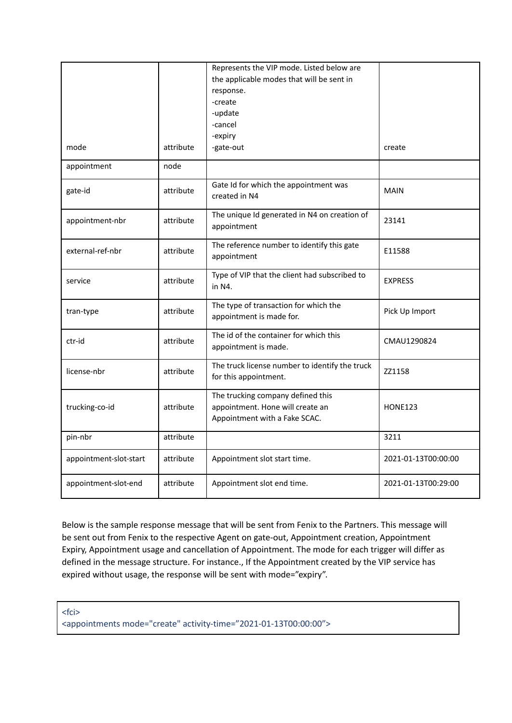|                        |           | Represents the VIP mode. Listed below are                                                              |                     |
|------------------------|-----------|--------------------------------------------------------------------------------------------------------|---------------------|
|                        |           | the applicable modes that will be sent in                                                              |                     |
|                        |           | response.                                                                                              |                     |
|                        |           | -create                                                                                                |                     |
|                        |           | -update                                                                                                |                     |
|                        |           | -cancel                                                                                                |                     |
|                        |           | -expiry                                                                                                |                     |
| mode                   | attribute | -gate-out                                                                                              | create              |
| appointment            | node      |                                                                                                        |                     |
| gate-id                | attribute | Gate Id for which the appointment was<br>created in N4                                                 | <b>MAIN</b>         |
| appointment-nbr        | attribute | The unique Id generated in N4 on creation of<br>appointment                                            | 23141               |
| external-ref-nbr       | attribute | The reference number to identify this gate<br>appointment                                              | E11588              |
| service                | attribute | Type of VIP that the client had subscribed to<br>in N4.                                                | <b>EXPRESS</b>      |
| tran-type              | attribute | The type of transaction for which the<br>appointment is made for.                                      | Pick Up Import      |
| ctr-id                 | attribute | The id of the container for which this<br>appointment is made.                                         | CMAU1290824         |
| license-nbr            | attribute | The truck license number to identify the truck<br>for this appointment.                                | ZZ1158              |
| trucking-co-id         | attribute | The trucking company defined this<br>appointment. Hone will create an<br>Appointment with a Fake SCAC. | <b>HONE123</b>      |
| pin-nbr                | attribute |                                                                                                        | 3211                |
| appointment-slot-start | attribute | Appointment slot start time.                                                                           | 2021-01-13T00:00:00 |
| appointment-slot-end   | attribute | Appointment slot end time.                                                                             | 2021-01-13T00:29:00 |

Below is the sample response message that will be sent from Fenix to the Partners. This message will be sent out from Fenix to the respective Agent on gate-out, Appointment creation, Appointment Expiry, Appointment usage and cancellation of Appointment. The mode for each trigger will differ as defined in the message structure. For instance., If the Appointment created by the VIP service has expired without usage, the response will be sent with mode="expiry".

<fci> <appointments mode="create" activity-time="2021-01-13T00:00:00">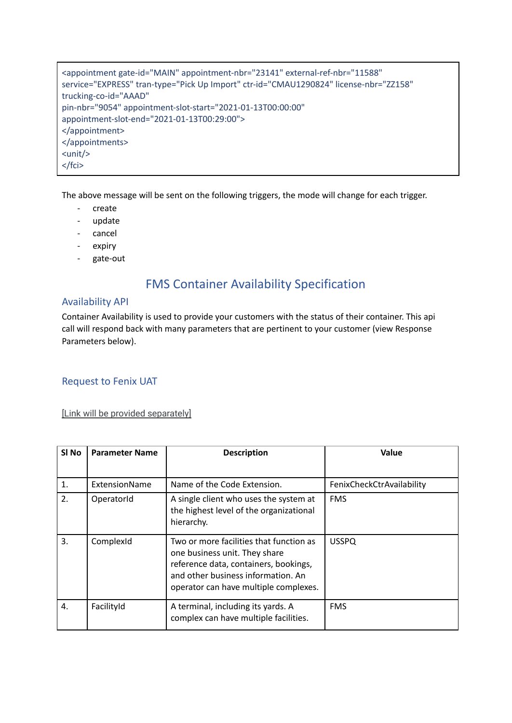<appointment gate-id="MAIN" appointment-nbr="23141" external-ref-nbr="11588" service="EXPRESS" tran-type="Pick Up Import" ctr-id="CMAU1290824" license-nbr="ZZ158" trucking-co-id="AAAD" pin-nbr="9054" appointment-slot-start="2021-01-13T00:00:00" appointment-slot-end="2021-01-13T00:29:00"> </appointment> </appointments> <unit/> </fci>

The above message will be sent on the following triggers, the mode will change for each trigger.

- create
- update
- cancel
- expiry
- <span id="page-7-0"></span>- gate-out

# FMS Container Availability Specification

### <span id="page-7-1"></span>Availability API

Container Availability is used to provide your customers with the status of their container. This api call will respond back with many parameters that are pertinent to your customer (view Response Parameters below).

### <span id="page-7-2"></span>Request to Fenix UAT

### [Link will be provided separately]

| SI <sub>No</sub> | <b>Parameter Name</b> | <b>Description</b>                                                                                                                                                                               | Value                     |
|------------------|-----------------------|--------------------------------------------------------------------------------------------------------------------------------------------------------------------------------------------------|---------------------------|
| 1.               | ExtensionName         | Name of the Code Extension.                                                                                                                                                                      | FenixCheckCtrAvailability |
| 2.               | OperatorId            | A single client who uses the system at<br>the highest level of the organizational<br>hierarchy.                                                                                                  | <b>FMS</b>                |
| 3.               | ComplexId             | Two or more facilities that function as<br>one business unit. They share<br>reference data, containers, bookings,<br>and other business information. An<br>operator can have multiple complexes. | <b>USSPQ</b>              |
| 4.               | FacilityId            | A terminal, including its yards. A<br>complex can have multiple facilities.                                                                                                                      | <b>FMS</b>                |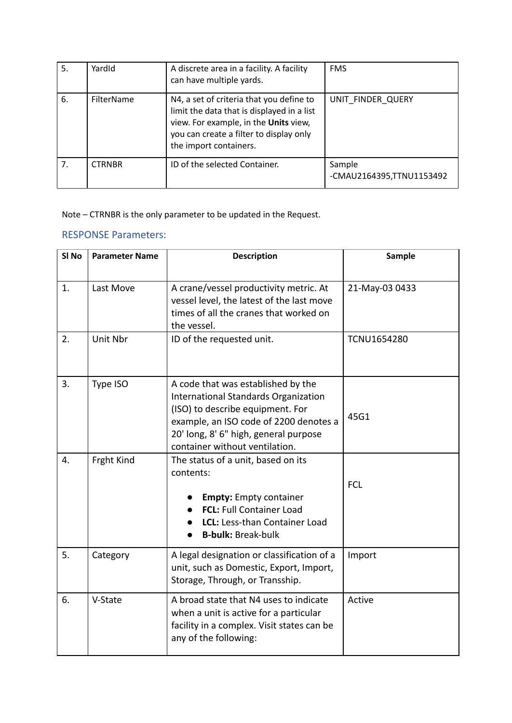| 5. | YardId        | A discrete area in a facility. A facility<br>can have multiple yards.                                                                                                                                | <b>FMS</b>                         |
|----|---------------|------------------------------------------------------------------------------------------------------------------------------------------------------------------------------------------------------|------------------------------------|
| 6. | FilterName    | N4, a set of criteria that you define to<br>limit the data that is displayed in a list<br>view. For example, in the Units view,<br>you can create a filter to display only<br>the import containers. | UNIT FINDER QUERY                  |
| 7. | <b>CTRNBR</b> | ID of the selected Container.                                                                                                                                                                        | Sample<br>-CMAU2164395,TTNU1153492 |

Note – CTRNBR is the only parameter to be updated in the Request.

### RESPONSE Parameters:

| SI <sub>No</sub> | <b>Parameter Name</b> | <b>Description</b>                                                                                                                                                                                                                  | Sample             |
|------------------|-----------------------|-------------------------------------------------------------------------------------------------------------------------------------------------------------------------------------------------------------------------------------|--------------------|
| 1.               | Last Move             | A crane/vessel productivity metric. At<br>vessel level, the latest of the last move<br>times of all the cranes that worked on<br>the vessel.                                                                                        | 21-May-03 0433     |
| 2.               | Unit Nbr              | ID of the requested unit.                                                                                                                                                                                                           | <b>TCNU1654280</b> |
| 3.               | Type ISO              | A code that was established by the<br>International Standards Organization<br>(ISO) to describe equipment. For<br>example, an ISO code of 2200 denotes a<br>20' long, 8' 6" high, general purpose<br>container without ventilation. | 45G1               |
| 4.               | Frght Kind            | The status of a unit, based on its<br>contents:<br><b>Empty:</b> Empty container<br>FCL: Full Container Load<br>LCL: Less-than Container Load<br><b>B-bulk: Break-bulk</b>                                                          | <b>FCL</b>         |
| 5.               | Category              | A legal designation or classification of a<br>unit, such as Domestic, Export, Import,<br>Storage, Through, or Transship.                                                                                                            | Import             |
| 6.               | V-State               | A broad state that N4 uses to indicate<br>when a unit is active for a particular<br>facility in a complex. Visit states can be<br>any of the following:                                                                             | Active             |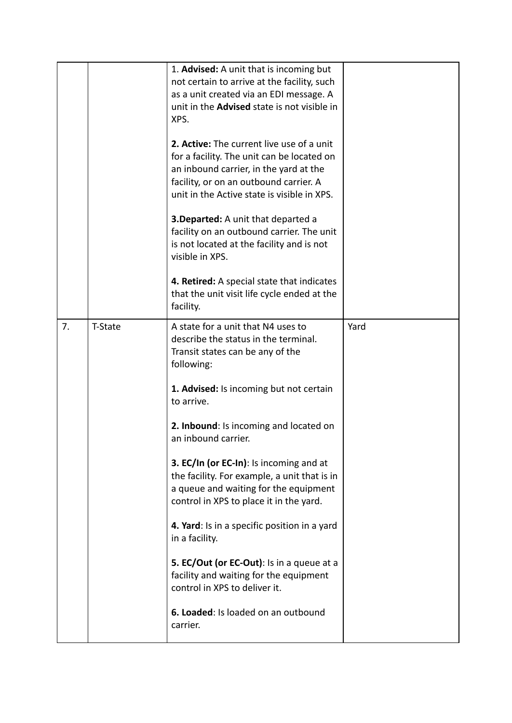|    |                | 1. Advised: A unit that is incoming but<br>not certain to arrive at the facility, such<br>as a unit created via an EDI message. A<br>unit in the <b>Advised</b> state is not visible in<br>XPS.<br>2. Active: The current live use of a unit<br>for a facility. The unit can be located on<br>an inbound carrier, in the yard at the<br>facility, or on an outbound carrier. A<br>unit in the Active state is visible in XPS.<br><b>3. Departed:</b> A unit that departed a<br>facility on an outbound carrier. The unit<br>is not located at the facility and is not<br>visible in XPS.<br>4. Retired: A special state that indicates<br>that the unit visit life cycle ended at the<br>facility. |      |
|----|----------------|----------------------------------------------------------------------------------------------------------------------------------------------------------------------------------------------------------------------------------------------------------------------------------------------------------------------------------------------------------------------------------------------------------------------------------------------------------------------------------------------------------------------------------------------------------------------------------------------------------------------------------------------------------------------------------------------------|------|
| 7. | <b>T-State</b> | A state for a unit that N4 uses to<br>describe the status in the terminal.<br>Transit states can be any of the<br>following:<br>1. Advised: Is incoming but not certain<br>to arrive.<br>2. Inbound: Is incoming and located on<br>an inbound carrier.<br>3. EC/In (or EC-In): Is incoming and at<br>the facility. For example, a unit that is in<br>a queue and waiting for the equipment<br>control in XPS to place it in the yard.<br>4. Yard: Is in a specific position in a yard<br>in a facility.<br>5. EC/Out (or EC-Out): Is in a queue at a<br>facility and waiting for the equipment<br>control in XPS to deliver it.<br>6. Loaded: Is loaded on an outbound<br>carrier.                 | Yard |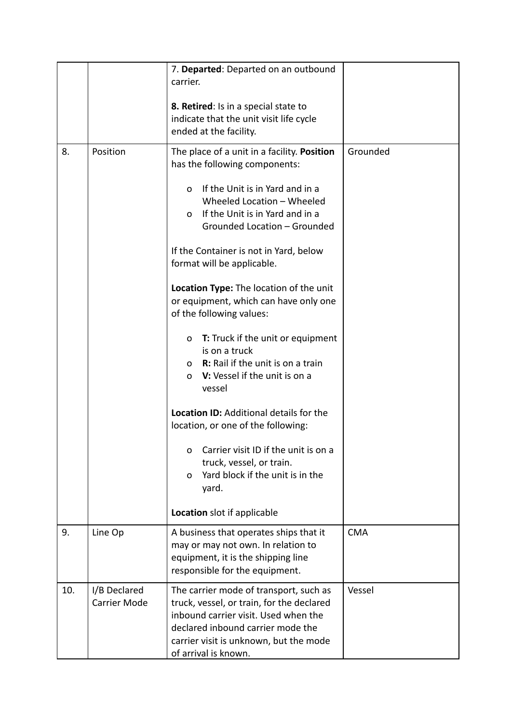|     |                                     | 7. Departed: Departed on an outbound<br>carrier.<br>8. Retired: Is in a special state to<br>indicate that the unit visit life cycle<br>ended at the facility.                                                                                                                                                                                                                                                                                                                                                                                                                                                                                                                                                                                                                                                                     |            |
|-----|-------------------------------------|-----------------------------------------------------------------------------------------------------------------------------------------------------------------------------------------------------------------------------------------------------------------------------------------------------------------------------------------------------------------------------------------------------------------------------------------------------------------------------------------------------------------------------------------------------------------------------------------------------------------------------------------------------------------------------------------------------------------------------------------------------------------------------------------------------------------------------------|------------|
| 8.  | Position                            | The place of a unit in a facility. Position<br>has the following components:<br>If the Unit is in Yard and in a<br>$\Omega$<br>Wheeled Location - Wheeled<br>If the Unit is in Yard and in a<br>$\Omega$<br>Grounded Location - Grounded<br>If the Container is not in Yard, below<br>format will be applicable.<br>Location Type: The location of the unit<br>or equipment, which can have only one<br>of the following values:<br><b>T:</b> Truck if the unit or equipment<br>O<br>is on a truck<br>o R: Rail if the unit is on a train<br>o V: Vessel if the unit is on a<br>vessel<br>Location ID: Additional details for the<br>location, or one of the following:<br>Carrier visit ID if the unit is on a<br>0<br>truck, vessel, or train.<br>Yard block if the unit is in the<br>O<br>yard.<br>Location slot if applicable | Grounded   |
| 9.  | Line Op                             | A business that operates ships that it<br>may or may not own. In relation to<br>equipment, it is the shipping line<br>responsible for the equipment.                                                                                                                                                                                                                                                                                                                                                                                                                                                                                                                                                                                                                                                                              | <b>CMA</b> |
| 10. | I/B Declared<br><b>Carrier Mode</b> | The carrier mode of transport, such as<br>truck, vessel, or train, for the declared<br>inbound carrier visit. Used when the<br>declared inbound carrier mode the<br>carrier visit is unknown, but the mode<br>of arrival is known.                                                                                                                                                                                                                                                                                                                                                                                                                                                                                                                                                                                                | Vessel     |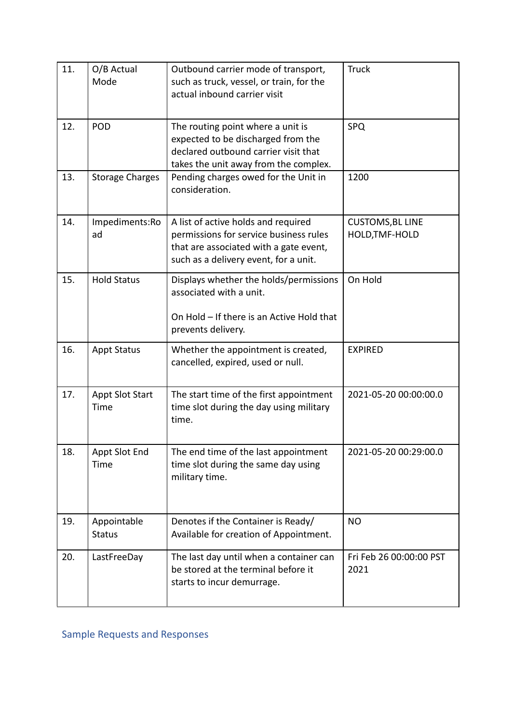<span id="page-11-0"></span>

| 11. | O/B Actual<br>Mode             | Outbound carrier mode of transport,<br>such as truck, vessel, or train, for the<br>actual inbound carrier visit                                                  | <b>Truck</b>                              |
|-----|--------------------------------|------------------------------------------------------------------------------------------------------------------------------------------------------------------|-------------------------------------------|
| 12. | POD                            | The routing point where a unit is<br>expected to be discharged from the<br>declared outbound carrier visit that<br>takes the unit away from the complex.         | SPQ                                       |
| 13. | <b>Storage Charges</b>         | Pending charges owed for the Unit in<br>consideration.                                                                                                           | 1200                                      |
| 14. | Impediments:Ro<br>ad           | A list of active holds and required<br>permissions for service business rules<br>that are associated with a gate event,<br>such as a delivery event, for a unit. | <b>CUSTOMS, BL LINE</b><br>HOLD, TMF-HOLD |
| 15. | <b>Hold Status</b>             | Displays whether the holds/permissions<br>associated with a unit.<br>On Hold - If there is an Active Hold that<br>prevents delivery.                             | On Hold                                   |
| 16. | <b>Appt Status</b>             | Whether the appointment is created,<br>cancelled, expired, used or null.                                                                                         | <b>EXPIRED</b>                            |
| 17. | <b>Appt Slot Start</b><br>Time | The start time of the first appointment<br>time slot during the day using military<br>time.                                                                      | 2021-05-20 00:00:00.0                     |
| 18. | Appt Slot End<br>Time          | The end time of the last appointment<br>time slot during the same day using<br>military time.                                                                    | 2021-05-20 00:29:00.0                     |
| 19. | Appointable<br><b>Status</b>   | Denotes if the Container is Ready/<br>Available for creation of Appointment.                                                                                     | <b>NO</b>                                 |
| 20. | LastFreeDay                    | The last day until when a container can<br>be stored at the terminal before it<br>starts to incur demurrage.                                                     | Fri Feb 26 00:00:00 PST<br>2021           |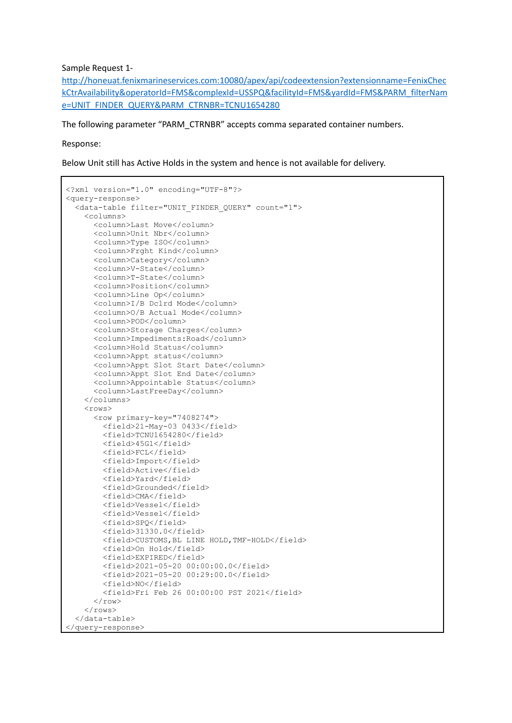Sample Request 1-

[http://honeuat.fenixmarineservices.com:10080/apex/api/codeextension?extensionname=FenixChec](http://honeuat.fenixmarineservices.com:10080/apex/api/codeextension?extensionname=FenixCheckCtrAvailability&operatorId=FMS&complexId=USSPQ&facilityId=FMS&yardId=FMS&PARM_filterName=UNIT_FINDER_QUERY&PARM_CTRNBR=TCNU1654280) [kCtrAvailability&operatorId=FMS&complexId=USSPQ&facilityId=FMS&yardId=FMS&PARM\\_filterNam](http://honeuat.fenixmarineservices.com:10080/apex/api/codeextension?extensionname=FenixCheckCtrAvailability&operatorId=FMS&complexId=USSPQ&facilityId=FMS&yardId=FMS&PARM_filterName=UNIT_FINDER_QUERY&PARM_CTRNBR=TCNU1654280) [e=UNIT\\_FINDER\\_QUERY&PARM\\_CTRNBR=TCNU1654280](http://honeuat.fenixmarineservices.com:10080/apex/api/codeextension?extensionname=FenixCheckCtrAvailability&operatorId=FMS&complexId=USSPQ&facilityId=FMS&yardId=FMS&PARM_filterName=UNIT_FINDER_QUERY&PARM_CTRNBR=TCNU1654280)

The following parameter "PARM\_CTRNBR" accepts comma separated container numbers.

Response:

Below Unit still has Active Holds in the system and hence is not available for delivery.

```
<?xml version="1.0" encoding="UTF-8"?>
<query-response>
  <data-table filter="UNIT_FINDER_QUERY" count="1">
    <columns>
      <column>Last Move</column>
      <column>Unit Nbr</column>
      <column>Type ISO</column>
      <column>Frght Kind</column>
      <column>Category</column>
      <column>V-State</column>
      <column>T-State</column>
      <column>Position</column>
      <column>Line Op</column>
      <column>I/B Dclrd Mode</column>
      <column>O/B Actual Mode</column>
      <column>POD</column>
      <column>Storage Charges</column>
      <column>Impediments:Road</column>
      <column>Hold Status</column>
      <column>Appt status</column>
      <column>Appt Slot Start Date</column>
      <column>Appt Slot End Date</column>
      <column>Appointable Status</column>
      <column>LastFreeDay</column>
    </columns>
    <rows>
      <row primary-key="7408274">
        <field>21-May-03 0433</field>
        <field>TCNU1654280</field>
        <field>45G1</field>
        <field>FCL</field>
        <field>Import</field>
        <field>Active</field>
        <field>Yard</field>
        <field>Grounded</field>
        <field>CMA</field>
        <field>Vessel</field>
        <field>Vessel</field>
        <field>SPQ</field>
        <field>31330.0</field>
        <field>CUSTOMS,BL LINE HOLD,TMF-HOLD</field>
        <field>On Hold</field>
        <field>EXPIRED</field>
        <field>2021-05-20 00:00:00.0</field>
        <field>2021-05-20 00:29:00.0</field>
        <field>NO</field>
        <field>Fri Feb 26 00:00:00 PST 2021</field>
      \langle/row\rangle\langle/rows>
  </data-table>
</query-response>
```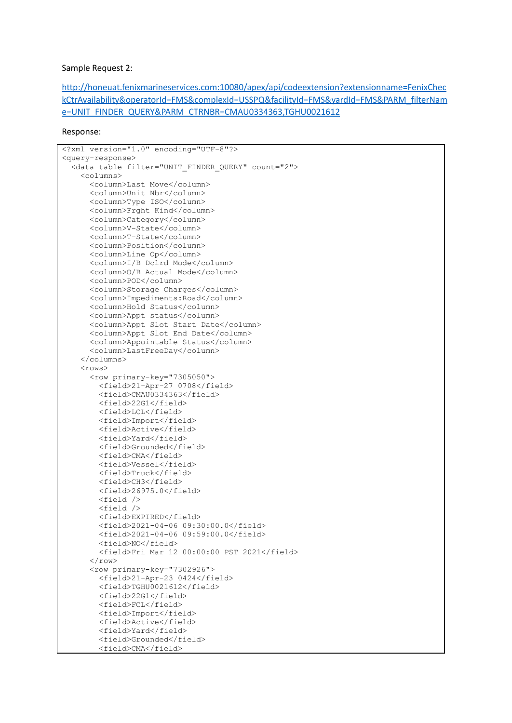#### Sample Request 2:

[http://honeuat.fenixmarineservices.com:10080/apex/api/codeextension?extensionname=FenixChec](http://honeuat.fenixmarineservices.com:10080/apex/api/codeextension?extensionname=FenixCheckCtrAvailability&operatorId=FMS&complexId=USSPQ&facilityId=FMS&yardId=FMS&PARM_filterName=UNIT_FINDER_QUERY&PARM_CTRNBR=CMAU0334363,TGHU0021612) [kCtrAvailability&operatorId=FMS&complexId=USSPQ&facilityId=FMS&yardId=FMS&PARM\\_filterNam](http://honeuat.fenixmarineservices.com:10080/apex/api/codeextension?extensionname=FenixCheckCtrAvailability&operatorId=FMS&complexId=USSPQ&facilityId=FMS&yardId=FMS&PARM_filterName=UNIT_FINDER_QUERY&PARM_CTRNBR=CMAU0334363,TGHU0021612) [e=UNIT\\_FINDER\\_QUERY&PARM\\_CTRNBR=CMAU0334363,TGHU0021612](http://honeuat.fenixmarineservices.com:10080/apex/api/codeextension?extensionname=FenixCheckCtrAvailability&operatorId=FMS&complexId=USSPQ&facilityId=FMS&yardId=FMS&PARM_filterName=UNIT_FINDER_QUERY&PARM_CTRNBR=CMAU0334363,TGHU0021612)

#### Response:

```
<?xml version="1.0" encoding="UTF-8"?>
<query-response>
  <data-table filter="UNIT_FINDER_QUERY" count="2">
    <columns>
      <column>Last Move</column>
      <column>Unit Nbr</column>
      <column>Type ISO</column>
      <column>Frght Kind</column>
      <column>Category</column>
     <column>V-State</column>
      <column>T-State</column>
      <column>Position</column>
      <column>Line Op</column>
      <column>I/B Dclrd Mode</column>
      <column>O/B Actual Mode</column>
      <column>POD</column>
      <column>Storage Charges</column>
      <column>Impediments:Road</column>
      <column>Hold Status</column>
      <column>Appt status</column>
      <column>Appt Slot Start Date</column>
      <column>Appt Slot End Date</column>
      <column>Appointable Status</column>
      <column>LastFreeDay</column>
    </columns>
    <rows>
      <row primary-key="7305050">
        <field>21-Apr-27 0708</field>
        <field>CMAU0334363</field>
        <field>22G1</field>
        <field>LCL</field>
        <field>Import</field>
        <field>Active</field>
        <field>Yard</field>
        <field>Grounded</field>
        <field>CMA</field>
        <field>Vessel</field>
        <field>Truck</field>
        <field>CH3</field>
        <field>26975.0</field>
        <field />
        <field />
        <field>EXPIRED</field>
        <field>2021-04-06 09:30:00.0</field>
        <field>2021-04-06 09:59:00.0</field>
        <field>NO</field>
        <field>Fri Mar 12 00:00:00 PST 2021</field>
      \langle/row\rangle<row primary-key="7302926">
        <field>21-Apr-23 0424</field>
        <field>TGHU0021612</field>
        <field>22G1</field>
        <field>FCL</field>
        <field>Import</field>
        <field>Active</field>
        <field>Yard</field>
        <field>Grounded</field>
        <field>CMA</field>
```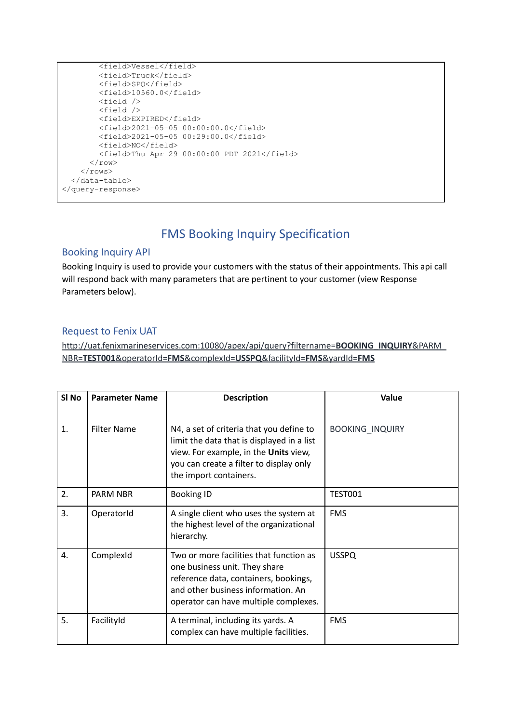```
<field>Vessel</field>
        <field>Truck</field>
        <field>SPQ</field>
        <field>10560.0</field>
        <field />
        <field />
        <field>EXPIRED</field>
        <field>2021-05-05 00:00:00.0</field>
        <field>2021-05-05 00:29:00.0</field>
        <field>NO</field>
        <field>Thu Apr 29 00:00:00 PDT 2021</field>
      \langle/row\rangle\langle/rows>
  </data-table>
</query-response>
```
# FMS Booking Inquiry Specification

### <span id="page-14-1"></span><span id="page-14-0"></span>Booking Inquiry API

Booking Inquiry is used to provide your customers with the status of their appointments. This api call will respond back with many parameters that are pertinent to your customer (view Response Parameters below).

### <span id="page-14-2"></span>Request to Fenix UAT

http://uat.fenixmarineservices.com:10080/apex/api/query?filtername=**BOOKING\_INQUIRY**&PARM\_ NBR=**TEST001**&operatorId=**FMS**&complexId=**USSPQ**&facilityId=**FMS**&yardId=**FMS**

| SI No | <b>Parameter Name</b> | <b>Description</b>                                                                                                                                                                                   | Value                  |
|-------|-----------------------|------------------------------------------------------------------------------------------------------------------------------------------------------------------------------------------------------|------------------------|
| 1.    | <b>Filter Name</b>    | N4, a set of criteria that you define to<br>limit the data that is displayed in a list<br>view. For example, in the Units view,<br>you can create a filter to display only<br>the import containers. | <b>BOOKING_INQUIRY</b> |
| 2.    | PARM NBR              | <b>Booking ID</b>                                                                                                                                                                                    | <b>TEST001</b>         |
| 3.    | OperatorId            | A single client who uses the system at<br>the highest level of the organizational<br>hierarchy.                                                                                                      | <b>FMS</b>             |
| 4.    | ComplexId             | Two or more facilities that function as<br>one business unit. They share<br>reference data, containers, bookings,<br>and other business information. An<br>operator can have multiple complexes.     | <b>USSPQ</b>           |
| 5.    | FacilityId            | A terminal, including its yards. A<br>complex can have multiple facilities.                                                                                                                          | <b>FMS</b>             |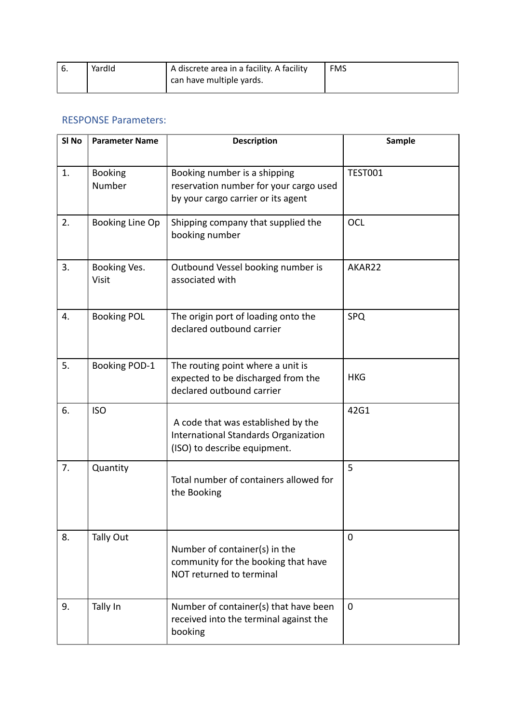| YardId | <sup>1</sup> A discrete area in a facility. A facility | <b>FMS</b> |
|--------|--------------------------------------------------------|------------|
|        | ' can have multiple yards.                             |            |

# RESPONSE Parameters:

| SI <sub>No</sub> | <b>Parameter Name</b>    | <b>Description</b>                                                                                           | <b>Sample</b>  |
|------------------|--------------------------|--------------------------------------------------------------------------------------------------------------|----------------|
| 1.               | <b>Booking</b><br>Number | Booking number is a shipping<br>reservation number for your cargo used<br>by your cargo carrier or its agent | <b>TEST001</b> |
| 2.               | Booking Line Op          | Shipping company that supplied the<br>booking number                                                         | <b>OCL</b>     |
| 3.               | Booking Ves.<br>Visit    | Outbound Vessel booking number is<br>associated with                                                         | AKAR22         |
| 4.               | <b>Booking POL</b>       | The origin port of loading onto the<br>declared outbound carrier                                             | SPQ            |
| 5.               | Booking POD-1            | The routing point where a unit is<br>expected to be discharged from the<br>declared outbound carrier         | <b>HKG</b>     |
| 6.               | <b>ISO</b>               | A code that was established by the<br>International Standards Organization<br>(ISO) to describe equipment.   | 42G1           |
| 7.               | Quantity                 | Total number of containers allowed for<br>the Booking                                                        | 5              |
| 8.               | Tally Out                | Number of container(s) in the<br>community for the booking that have<br>NOT returned to terminal             | $\mathbf 0$    |
| 9.               | Tally In                 | Number of container(s) that have been<br>received into the terminal against the<br>booking                   | $\mathbf{0}$   |